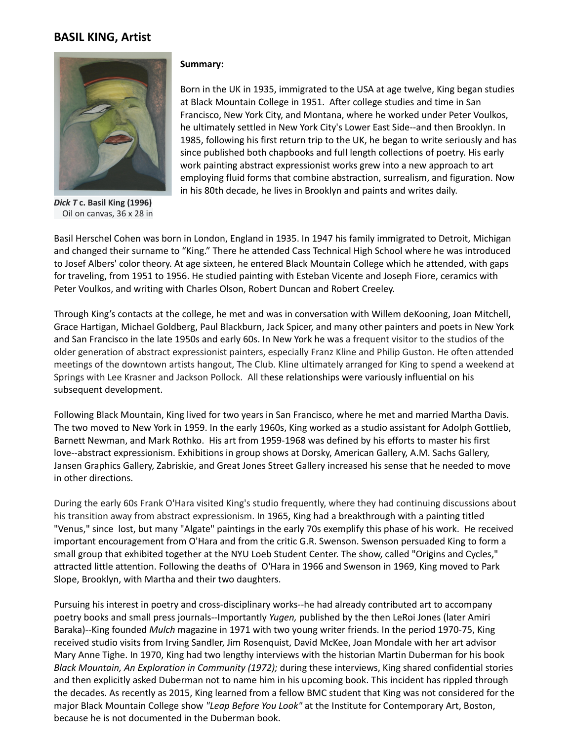## **BASIL KING, Artist**



*Dick T* **c. Basil King (1996)** Oil on canvas, 36 x 28 in

## **Summary:**

Born in the UK in 1935, immigrated to the USA at age twelve, King began studies at Black Mountain College in 1951. After college studies and time in San Francisco, New York City, and Montana, where he worked under Peter Voulkos, he ultimately settled in New York City's Lower East Side--and then Brooklyn. In 1985, following his first return trip to the UK, he began to write seriously and has since published both chapbooks and full length collections of poetry. His early work painting abstract expressionist works grew into a new approach to art employing fluid forms that combine abstraction, surrealism, and figuration. Now in his 80th decade, he lives in Brooklyn and paints and writes daily.

Basil Herschel Cohen was born in London, England in 1935. In 1947 his family immigrated to Detroit, Michigan and changed their surname to "King." There he attended Cass Technical High School where he was introduced to Josef Albers' color theory. At age sixteen, he entered Black Mountain College which he attended, with gaps for traveling, from 1951 to 1956. He studied painting with Esteban Vicente and Joseph Fiore, ceramics with Peter Voulkos, and writing with Charles Olson, Robert Duncan and Robert Creeley.

Through King's contacts at the college, he met and was in conversation with Willem deKooning, Joan Mitchell, Grace Hartigan, Michael Goldberg, Paul Blackburn, Jack Spicer, and many other painters and poets in New York and San Francisco in the late 1950s and early 60s. In New York he was a frequent visitor to the studios of the older generation of abstract expressionist painters, especially Franz Kline and Philip Guston. He often attended meetings of the downtown artists hangout, The Club. Kline ultimately arranged for King to spend a weekend at Springs with Lee Krasner and Jackson Pollock. All these relationships were variously influential on his subsequent development.

Following Black Mountain, King lived for two years in San Francisco, where he met and married Martha Davis. The two moved to New York in 1959. In the early 1960s, King worked as a studio assistant for Adolph Gottlieb, Barnett Newman, and Mark Rothko. His art from 1959-1968 was defined by his efforts to master his first love--abstract expressionism. Exhibitions in group shows at Dorsky, American Gallery, A.M. Sachs Gallery, Jansen Graphics Gallery, Zabriskie, and Great Jones Street Gallery increased his sense that he needed to move in other directions.

During the early 60s Frank O'Hara visited King's studio frequently, where they had continuing discussions about his transition away from abstract expressionism. In 1965, King had a breakthrough with a painting titled "Venus," since lost, but many "Algate" paintings in the early 70s exemplify this phase of his work. He received important encouragement from O'Hara and from the critic G.R. Swenson. Swenson persuaded King to form a small group that exhibited together at the NYU Loeb Student Center. The show, called "Origins and Cycles," attracted little attention. Following the deaths of O'Hara in 1966 and Swenson in 1969, King moved to Park Slope, Brooklyn, with Martha and their two daughters.

Pursuing his interest in poetry and cross-disciplinary works--he had already contributed art to accompany poetry books and small press journals--Importantly *Yugen,* published by the then LeRoi Jones (later Amiri Baraka)--King founded *Mulch* magazine in 1971 with two young writer friends. In the period 1970-75, King received studio visits from Irving Sandler, Jim Rosenquist, David McKee, Joan Mondale with her art advisor Mary Anne Tighe. In 1970, King had two lengthy interviews with the historian Martin Duberman for his book *Black Mountain, An Exploration in Community (1972);* during these interviews, King shared confidential stories and then explicitly asked Duberman not to name him in his upcoming book. This incident has rippled through the decades. As recently as 2015, King learned from a fellow BMC student that King was not considered for the major Black Mountain College show *"Leap Before You Look"* at the Institute for Contemporary Art, Boston, because he is not documented in the Duberman book.